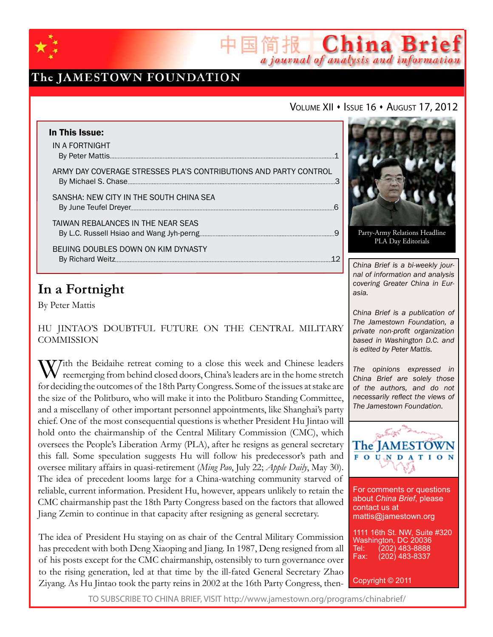

## The JAMESTOWN FOUNDATION

### VOLUME XII · ISSUE 16 · AUGUST 17, 2012

a journal of analysis and information

China Brief

| In This Issue:<br>IN A FORTNIGHT                                 |   |
|------------------------------------------------------------------|---|
| ARMY DAY COVERAGE STRESSES PLA'S CONTRIBUTIONS AND PARTY CONTROL |   |
| SANSHA: NEW CITY IN THE SOUTH CHINA SEA                          | 6 |
| TAIWAN REBALANCES IN THE NEAR SEAS                               |   |
| BEIJING DOUBLES DOWN ON KIM DYNASTY                              |   |

## **In a Fortnight**

By Peter Mattis

Hu Jintao's Doubtful Future on the Central Military **COMMISSION** 

With the Beidaihe retreat coming to a close this week and Chinese leaders<br>reemerging from behind closed doors, China's leaders are in the home stretch for deciding the outcomes of the 18th Party Congress. Some of the issues at stake are the size of the Politburo, who will make it into the Politburo Standing Committee, and a miscellany of other important personnel appointments, like Shanghai's party chief. One of the most consequential questions is whether President Hu Jintao will hold onto the chairmanship of the Central Military Commission (CMC), which oversees the People's Liberation Army (PLA), after he resigns as general secretary this fall. Some speculation suggests Hu will follow his predecessor's path and oversee military affairs in quasi-retirement (*Ming Pao*, July 22; *Apple Daily*, May 30). The idea of precedent looms large for a China-watching community starved of reliable, current information. President Hu, however, appears unlikely to retain the CMC chairmanship past the 18th Party Congress based on the factors that allowed Jiang Zemin to continue in that capacity after resigning as general secretary.

The idea of President Hu staying on as chair of the Central Military Commission has precedent with both Deng Xiaoping and Jiang. In 1987, Deng resigned from all of his posts except for the CMC chairmanship, ostensibly to turn governance over to the rising generation, led at that time by the ill-fated General Secretary Zhao Ziyang. As Hu Jintao took the party reins in 2002 at the 16th Party Congress, then-

Party-Army Relations Headline PLA Day Editorials

*China Brief is a bi-weekly journal of information and analysis covering Greater China in Eurasia.* 

*China Brief is a publication of The Jamestown Foundation, a private non-profit organization based in Washington D.C. and is edited by Peter Mattis.*

*The opinions expressed in China Brief are solely those of the authors, and do not necessarily reflect the views of The Jamestown Foundation.*



For comments or questions about *China Brief*, please contact us at mattis@jamestown.org

1111 16th St. NW, Suite #320 Washington, DC 20036<br>Tel: (202) 483-8888 Tel: (202) 483-8888<br>Fax: (202) 483-8337 (202) 483-8337

Copyright © 2011

TO SUBSCRIBE TO CHINA BRIEF, VISIT http://www.jamestown.org/programs/chinabrief/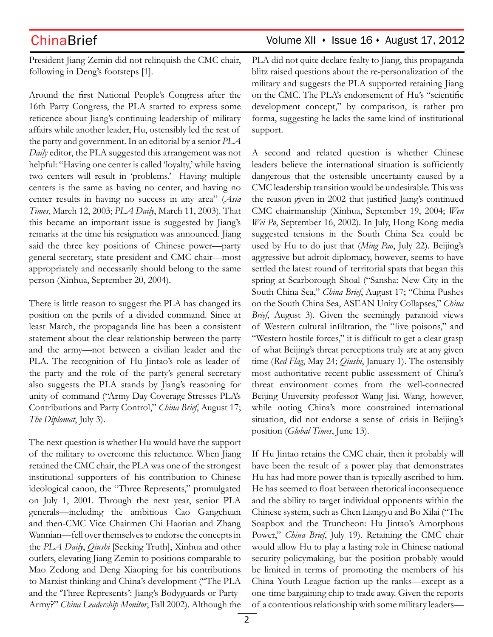President Jiang Zemin did not relinquish the CMC chair, following in Deng's footsteps [1].

Around the first National People's Congress after the 16th Party Congress, the PLA started to express some reticence about Jiang's continuing leadership of military affairs while another leader, Hu, ostensibly led the rest of the party and government. In an editorial by a senior *PLA Daily* editor, the PLA suggested this arrangement was not helpful: "Having one center is called 'loyalty,' while having two centers will result in 'problems.' Having multiple centers is the same as having no center, and having no center results in having no success in any area" (*Asia Times*, March 12, 2003; *PLA Daily*, March 11, 2003). That this became an important issue is suggested by Jiang's remarks at the time his resignation was announced. Jiang said the three key positions of Chinese power—party general secretary, state president and CMC chair—most appropriately and necessarily should belong to the same person (Xinhua, September 20, 2004).

There is little reason to suggest the PLA has changed its position on the perils of a divided command. Since at least March, the propaganda line has been a consistent statement about the clear relationship between the party and the army—not between a civilian leader and the PLA. The recognition of Hu Jintao's role as leader of the party and the role of the party's general secretary also suggests the PLA stands by Jiang's reasoning for unity of command ("Army Day Coverage Stresses PLA's Contributions and Party Control," *China Brief*, August 17; *The Diplomat*, July 3).

The next question is whether Hu would have the support of the military to overcome this reluctance. When Jiang retained the CMC chair, the PLA was one of the strongest institutional supporters of his contribution to Chinese ideological canon, the "Three Represents," promulgated on July 1, 2001. Through the next year, senior PLA generals—including the ambitious Cao Gangchuan and then-CMC Vice Chairmen Chi Haotian and Zhang Wannian—fell over themselves to endorse the concepts in the *PLA Daily*, *Qiushi* [Seeking Truth], Xinhua and other outlets, elevating Jiang Zemin to positions comparable to Mao Zedong and Deng Xiaoping for his contributions to Marxist thinking and China's development ("The PLA and the 'Three Represents': Jiang's Bodyguards or Party-Army?" *China Leadership Monitor*, Fall 2002). Although the

## $China Brief$  Volume XII  $\cdot$  Issue 16  $\cdot$  August 17, 2012

PLA did not quite declare fealty to Jiang, this propaganda blitz raised questions about the re-personalization of the military and suggests the PLA supported retaining Jiang on the CMC. The PLA's endorsement of Hu's "scientific development concept," by comparison, is rather pro forma, suggesting he lacks the same kind of institutional support.

A second and related question is whether Chinese leaders believe the international situation is sufficiently dangerous that the ostensible uncertainty caused by a CMC leadership transition would be undesirable. This was the reason given in 2002 that justified Jiang's continued CMC chairmanship (Xinhua, September 19, 2004; *Wen Wei Po*, September 16, 2002). In July, Hong Kong media suggested tensions in the South China Sea could be used by Hu to do just that (*Ming Pao*, July 22). Beijing's aggressive but adroit diplomacy, however, seems to have settled the latest round of territorial spats that began this spring at Scarborough Shoal ("Sansha: New City in the South China Sea," *China Brief*, August 17; "China Pushes on the South China Sea, ASEAN Unity Collapses," *China Brief*, August 3). Given the seemingly paranoid views of Western cultural infiltration, the "five poisons," and "Western hostile forces," it is difficult to get a clear grasp of what Beijing's threat perceptions truly are at any given time (*Red Flag*, May 24; *Qiushi*, January 1). The ostensibly most authoritative recent public assessment of China's threat environment comes from the well-connected Beijing University professor Wang Jisi. Wang, however, while noting China's more constrained international situation, did not endorse a sense of crisis in Beijing's position (*Global Times*, June 13).

If Hu Jintao retains the CMC chair, then it probably will have been the result of a power play that demonstrates Hu has had more power than is typically ascribed to him. He has seemed to float between rhetorical inconsequence and the ability to target individual opponents within the Chinese system, such as Chen Liangyu and Bo Xilai ("The Soapbox and the Truncheon: Hu Jintao's Amorphous Power," *China Brief*, July 19). Retaining the CMC chair would allow Hu to play a lasting role in Chinese national security policymaking, but the position probably would be limited in terms of promoting the members of his China Youth League faction up the ranks—except as a one-time bargaining chip to trade away. Given the reports of a contentious relationship with some military leaders—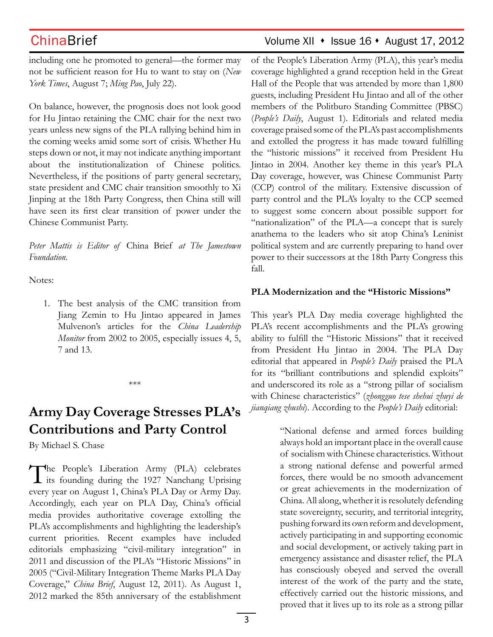including one he promoted to general—the former may not be sufficient reason for Hu to want to stay on (*New York Times*, August 7; *Ming Pao*, July 22).

On balance, however, the prognosis does not look good for Hu Jintao retaining the CMC chair for the next two years unless new signs of the PLA rallying behind him in the coming weeks amid some sort of crisis. Whether Hu steps down or not, it may not indicate anything important about the institutionalization of Chinese politics. Nevertheless, if the positions of party general secretary, state president and CMC chair transition smoothly to Xi Jinping at the 18th Party Congress, then China still will have seen its first clear transition of power under the Chinese Communist Party.

*Peter Mattis is Editor of* China Brief *at The Jamestown Foundation*.

Notes:

1. The best analysis of the CMC transition from Jiang Zemin to Hu Jintao appeared in James Mulvenon's articles for the *China Leadership Monitor* from 2002 to 2005, especially issues 4, 5, 7 and 13.

\*\*\*

# **Army Day Coverage Stresses PLA's Contributions and Party Control**

By Michael S. Chase

The People's Liberation Army (PLA) celebrates its founding during the 1927 Nanchang Uprising every year on August 1, China's PLA Day or Army Day. Accordingly, each year on PLA Day, China's official media provides authoritative coverage extolling the PLA's accomplishments and highlighting the leadership's current priorities. Recent examples have included editorials emphasizing "civil-military integration" in 2011 and discussion of the PLA's "Historic Missions" in 2005 ("Civil-Military Integration Theme Marks PLA Day Coverage," *China Brief*, August 12, 2011). As August 1, 2012 marked the 85th anniversary of the establishment

## ChinaBrief ChinaBrief Volume XII • Issue 16 • August 17, 2012

of the People's Liberation Army (PLA), this year's media coverage highlighted a grand reception held in the Great Hall of the People that was attended by more than 1,800 guests, including President Hu Jintao and all of the other members of the Politburo Standing Committee (PBSC) (*People's Daily*, August 1). Editorials and related media coverage praised some of the PLA's past accomplishments and extolled the progress it has made toward fulfilling the "historic missions" it received from President Hu Jintao in 2004. Another key theme in this year's PLA Day coverage, however, was Chinese Communist Party (CCP) control of the military. Extensive discussion of party control and the PLA's loyalty to the CCP seemed to suggest some concern about possible support for "nationalization" of the PLA—a concept that is surely anathema to the leaders who sit atop China's Leninist political system and are currently preparing to hand over power to their successors at the 18th Party Congress this fall.

### **PLA Modernization and the "Historic Missions"**

This year's PLA Day media coverage highlighted the PLA's recent accomplishments and the PLA's growing ability to fulfill the "Historic Missions" that it received from President Hu Jintao in 2004. The PLA Day editorial that appeared in *People's Daily* praised the PLA for its "brilliant contributions and splendid exploits" and underscored its role as a "strong pillar of socialism with Chinese characteristics" (*zhongguo tese shehui zhuyi de jianqiang zhushi*). According to the *People's Daily* editorial:

> "National defense and armed forces building always hold an important place in the overall cause of socialism with Chinese characteristics. Without a strong national defense and powerful armed forces, there would be no smooth advancement or great achievements in the modernization of China. All along, whether it is resolutely defending state sovereignty, security, and territorial integrity, pushing forward its own reform and development, actively participating in and supporting economic and social development, or actively taking part in emergency assistance and disaster relief, the PLA has consciously obeyed and served the overall interest of the work of the party and the state, effectively carried out the historic missions, and proved that it lives up to its role as a strong pillar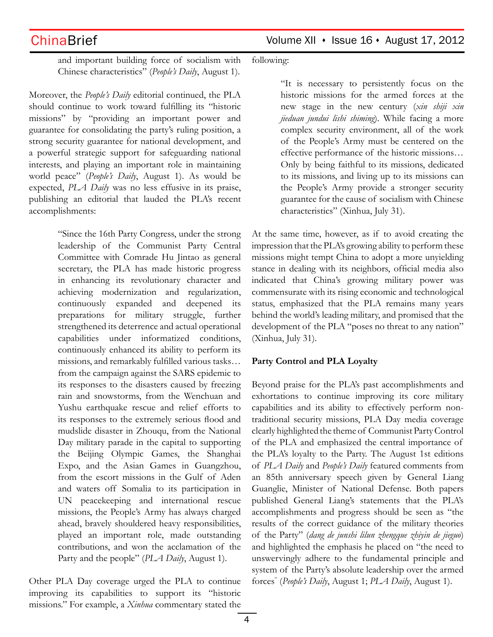$China Brief$  Volume XII  $\cdot$  Issue 16  $\cdot$  August 17, 2012

and important building force of socialism with Chinese characteristics" (*People's Daily*, August 1).

Moreover, the *People's Daily* editorial continued, the PLA should continue to work toward fulfilling its "historic missions" by "providing an important power and guarantee for consolidating the party's ruling position, a strong security guarantee for national development, and a powerful strategic support for safeguarding national interests, and playing an important role in maintaining world peace" (*People's Daily*, August 1). As would be expected, *PLA Daily* was no less effusive in its praise, publishing an editorial that lauded the PLA's recent accomplishments:

> "Since the 16th Party Congress, under the strong leadership of the Communist Party Central Committee with Comrade Hu Jintao as general secretary, the PLA has made historic progress in enhancing its revolutionary character and achieving modernization and regularization, continuously expanded and deepened its preparations for military struggle, further strengthened its deterrence and actual operational capabilities under informatized conditions, continuously enhanced its ability to perform its missions, and remarkably fulfilled various tasks… from the campaign against the SARS epidemic to its responses to the disasters caused by freezing rain and snowstorms, from the Wenchuan and Yushu earthquake rescue and relief efforts to its responses to the extremely serious flood and mudslide disaster in Zhouqu, from the National Day military parade in the capital to supporting the Beijing Olympic Games, the Shanghai Expo, and the Asian Games in Guangzhou, from the escort missions in the Gulf of Aden and waters off Somalia to its participation in UN peacekeeping and international rescue missions, the People's Army has always charged ahead, bravely shouldered heavy responsibilities, played an important role, made outstanding contributions, and won the acclamation of the Party and the people" (*PLA Daily*, August 1).

Other PLA Day coverage urged the PLA to continue improving its capabilities to support its "historic missions." For example, a *Xinhua* commentary stated the following:

"It is necessary to persistently focus on the historic missions for the armed forces at the new stage in the new century (*xin shiji xin jieduan jundui lishi shiming*). While facing a more complex security environment, all of the work of the People's Army must be centered on the effective performance of the historic missions… Only by being faithful to its missions, dedicated to its missions, and living up to its missions can the People's Army provide a stronger security guarantee for the cause of socialism with Chinese characteristics" (Xinhua, July 31).

At the same time, however, as if to avoid creating the impression that the PLA's growing ability to perform these missions might tempt China to adopt a more unyielding stance in dealing with its neighbors, official media also indicated that China's growing military power was commensurate with its rising economic and technological status, emphasized that the PLA remains many years behind the world's leading military, and promised that the development of the PLA "poses no threat to any nation" (Xinhua, July 31).

### **Party Control and PLA Loyalty**

Beyond praise for the PLA's past accomplishments and exhortations to continue improving its core military capabilities and its ability to effectively perform nontraditional security missions, PLA Day media coverage clearly highlighted the theme of Communist Party Control of the PLA and emphasized the central importance of the PLA's loyalty to the Party. The August 1st editions of *PLA Daily* and *People's Daily* featured comments from an 85th anniversary speech given by General Liang Guanglie, Minister of National Defense. Both papers published General Liang's statements that the PLA's accomplishments and progress should be seen as "the results of the correct guidance of the military theories of the Party" (*dang de junshi lilun zhengque zhiyin de jieguo*) and highlighted the emphasis he placed on "the need to unswervingly adhere to the fundamental principle and system of the Party's absolute leadership over the armed forces" (*People's Daily*, August 1; *PLA Daily*, August 1).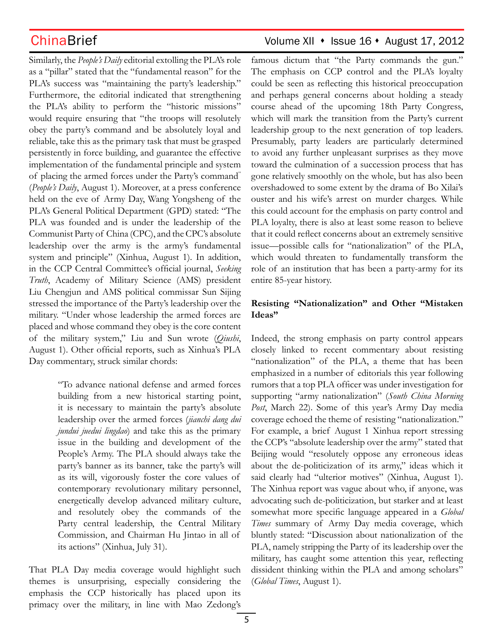Similarly, the *People's Daily* editorial extolling the PLA's role as a "pillar" stated that the "fundamental reason" for the PLA's success was "maintaining the party's leadership." Furthermore, the editorial indicated that strengthening the PLA's ability to perform the "historic missions" would require ensuring that "the troops will resolutely obey the party's command and be absolutely loyal and reliable, take this as the primary task that must be grasped persistently in force building, and guarantee the effective implementation of the fundamental principle and system of placing the armed forces under the Party's command" (*People's Daily*, August 1). Moreover, at a press conference held on the eve of Army Day, Wang Yongsheng of the PLA's General Political Department (GPD) stated: "The PLA was founded and is under the leadership of the Communist Party of China (CPC), and the CPC's absolute leadership over the army is the army's fundamental system and principle" (Xinhua, August 1). In addition, in the CCP Central Committee's official journal, *Seeking Truth*, Academy of Military Science (AMS) president Liu Chengjun and AMS political commissar Sun Sijing stressed the importance of the Party's leadership over the military. "Under whose leadership the armed forces are placed and whose command they obey is the core content of the military system," Liu and Sun wrote (*Qiushi*, August 1). Other official reports, such as Xinhua's PLA Day commentary, struck similar chords:

> "To advance national defense and armed forces building from a new historical starting point, it is necessary to maintain the party's absolute leadership over the armed forces (*jianchi dang dui jundui juedui lingdao*) and take this as the primary issue in the building and development of the People's Army. The PLA should always take the party's banner as its banner, take the party's will as its will, vigorously foster the core values of contemporary revolutionary military personnel, energetically develop advanced military culture, and resolutely obey the commands of the Party central leadership, the Central Military Commission, and Chairman Hu Jintao in all of its actions" (Xinhua, July 31).

That PLA Day media coverage would highlight such themes is unsurprising, especially considering the emphasis the CCP historically has placed upon its primacy over the military, in line with Mao Zedong's

## ChinaBrief ChinaBrief Volume XII • Issue 16 • August 17, 2012

famous dictum that "the Party commands the gun." The emphasis on CCP control and the PLA's loyalty could be seen as reflecting this historical preoccupation and perhaps general concerns about holding a steady course ahead of the upcoming 18th Party Congress, which will mark the transition from the Party's current leadership group to the next generation of top leaders. Presumably, party leaders are particularly determined to avoid any further unpleasant surprises as they move toward the culmination of a succession process that has gone relatively smoothly on the whole, but has also been overshadowed to some extent by the drama of Bo Xilai's ouster and his wife's arrest on murder charges. While this could account for the emphasis on party control and PLA loyalty, there is also at least some reason to believe that it could reflect concerns about an extremely sensitive issue—possible calls for "nationalization" of the PLA, which would threaten to fundamentally transform the role of an institution that has been a party-army for its entire 85-year history.

### **Resisting "Nationalization" and Other "Mistaken Ideas"**

Indeed, the strong emphasis on party control appears closely linked to recent commentary about resisting "nationalization" of the PLA, a theme that has been emphasized in a number of editorials this year following rumors that a top PLA officer was under investigation for supporting "army nationalization" (*South China Morning Post*, March 22). Some of this year's Army Day media coverage echoed the theme of resisting "nationalization." For example, a brief August 1 Xinhua report stressing the CCP's "absolute leadership over the army" stated that Beijing would "resolutely oppose any erroneous ideas about the de-politicization of its army," ideas which it said clearly had "ulterior motives" (Xinhua, August 1). The Xinhua report was vague about who, if anyone, was advocating such de-politicization, but starker and at least somewhat more specific language appeared in a *Global Times* summary of Army Day media coverage, which bluntly stated: "Discussion about nationalization of the PLA, namely stripping the Party of its leadership over the military, has caught some attention this year, reflecting dissident thinking within the PLA and among scholars" (*Global Times*, August 1).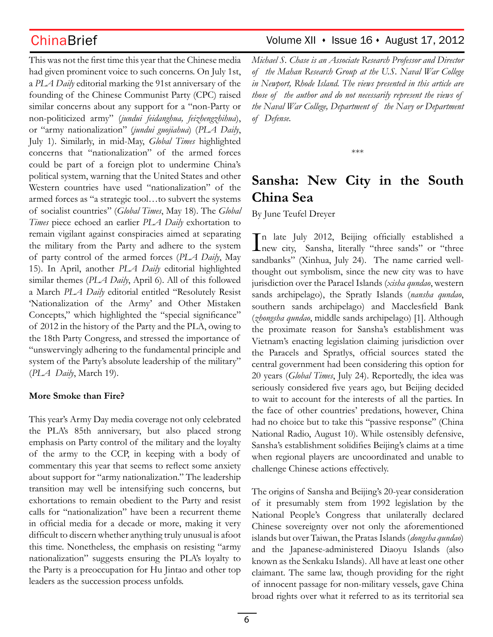This was not the first time this year that the Chinese media had given prominent voice to such concerns. On July 1st, a *PLA Daily* editorial marking the 91st anniversary of the founding of the Chinese Communist Party (CPC) raised similar concerns about any support for a "non-Party or non-politicized army" (*jundui feidanghua, feizhengzhihua*), or "army nationalization" (*jundui guojiahua*) (*PLA Daily*, July 1). Similarly, in mid-May, *Global Times* highlighted concerns that "nationalization" of the armed forces could be part of a foreign plot to undermine China's political system, warning that the United States and other Western countries have used "nationalization" of the armed forces as "a strategic tool…to subvert the systems of socialist countries" (*Global Times*, May 18). The *Global Times* piece echoed an earlier *PLA Daily* exhortation to remain vigilant against conspiracies aimed at separating the military from the Party and adhere to the system of party control of the armed forces (*PLA Daily*, May 15). In April, another *PLA Daily* editorial highlighted similar themes (*PLA Daily*, April 6). All of this followed a March *PLA Daily* editorial entitled "Resolutely Resist 'Nationalization of the Army' and Other Mistaken Concepts," which highlighted the "special significance" of 2012 in the history of the Party and the PLA, owing to the 18th Party Congress, and stressed the importance of "unswervingly adhering to the fundamental principle and system of the Party's absolute leadership of the military" (*PLA Daily*, March 19).

### **More Smoke than Fire?**

This year's Army Day media coverage not only celebrated the PLA's 85th anniversary, but also placed strong emphasis on Party control of the military and the loyalty of the army to the CCP, in keeping with a body of commentary this year that seems to reflect some anxiety about support for "army nationalization." The leadership transition may well be intensifying such concerns, but exhortations to remain obedient to the Party and resist calls for "nationalization" have been a recurrent theme in official media for a decade or more, making it very difficult to discern whether anything truly unusual is afoot this time. Nonetheless, the emphasis on resisting "army nationalization" suggests ensuring the PLA's loyalty to the Party is a preoccupation for Hu Jintao and other top leaders as the succession process unfolds.

## ChinaBrief ChinaBrief Volume XII • Issue 16 • August 17, 2012

*Michael S. Chase is an Associate Research Professor and Director of the Mahan Research Group at the U.S. Naval War College in Newport, Rhode Island. The views presented in this article are those of the author and do not necessarily represent the views of the Naval War College, Department of the Navy or Department of Defense.*

\*\*\*

# **Sansha: New City in the South China Sea**

By June Teufel Dreyer

In late July 2012, Beijing officially established a<br>new city, Sansha, literally "three sands" or "three n late July 2012, Beijing officially established a sandbanks" (Xinhua, July 24). The name carried wellthought out symbolism, since the new city was to have jurisdiction over the Paracel Islands (*xisha qundao*, western sands archipelago), the Spratly Islands (*nansha qundao*, southern sands archipelago) and Macclesfield Bank (*zhongsha qundao*, middle sands archipelago) [1]. Although the proximate reason for Sansha's establishment was Vietnam's enacting legislation claiming jurisdiction over the Paracels and Spratlys, official sources stated the central government had been considering this option for 20 years (*Global Times*, July 24). Reportedly, the idea was seriously considered five years ago, but Beijing decided to wait to account for the interests of all the parties. In the face of other countries' predations, however, China had no choice but to take this "passive response" (China National Radio, August 10). While ostensibly defensive, Sansha's establishment solidifies Beijing's claims at a time when regional players are uncoordinated and unable to challenge Chinese actions effectively.

The origins of Sansha and Beijing's 20-year consideration of it presumably stem from 1992 legislation by the National People's Congress that unilaterally declared Chinese sovereignty over not only the aforementioned islands but over Taiwan, the Pratas Islands (*dongsha qundao*) and the Japanese-administered Diaoyu Islands (also known as the Senkaku Islands). All have at least one other claimant. The same law, though providing for the right of innocent passage for non-military vessels, gave China broad rights over what it referred to as its territorial sea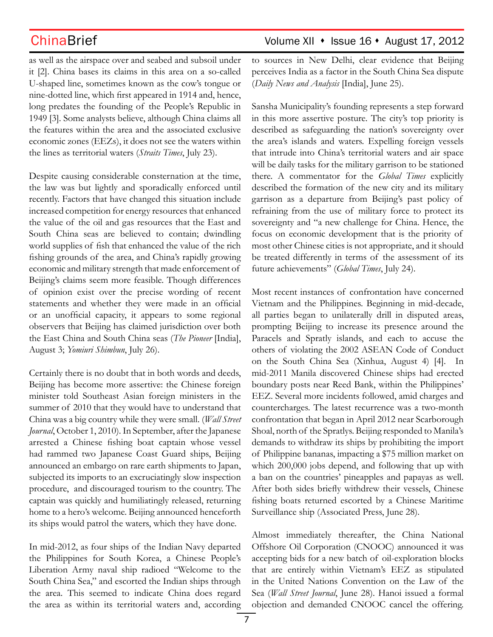ChinaBrief ChinaBrief Volume XII • Issue 16 • August 17, 2012

as well as the airspace over and seabed and subsoil under it [2]. China bases its claims in this area on a so-called U-shaped line, sometimes known as the cow's tongue or nine-dotted line, which first appeared in 1914 and, hence, long predates the founding of the People's Republic in 1949 [3]. Some analysts believe, although China claims all the features within the area and the associated exclusive economic zones (EEZs), it does not see the waters within the lines as territorial waters (*Straits Times*, July 23).

Despite causing considerable consternation at the time, the law was but lightly and sporadically enforced until recently. Factors that have changed this situation include increased competition for energy resources that enhanced the value of the oil and gas resources that the East and South China seas are believed to contain; dwindling world supplies of fish that enhanced the value of the rich fishing grounds of the area, and China's rapidly growing economic and military strength that made enforcement of Beijing's claims seem more feasible. Though differences of opinion exist over the precise wording of recent statements and whether they were made in an official or an unofficial capacity, it appears to some regional observers that Beijing has claimed jurisdiction over both the East China and South China seas (*The Pioneer* [India], August 3; *Yomiuri Shimbun*, July 26).

Certainly there is no doubt that in both words and deeds, Beijing has become more assertive: the Chinese foreign minister told Southeast Asian foreign ministers in the summer of 2010 that they would have to understand that China was a big country while they were small. (*Wall Street Journal*, October 1, 2010). In September, after the Japanese arrested a Chinese fishing boat captain whose vessel had rammed two Japanese Coast Guard ships, Beijing announced an embargo on rare earth shipments to Japan, subjected its imports to an excruciatingly slow inspection procedure, and discouraged tourism to the country. The captain was quickly and humiliatingly released, returning home to a hero's welcome. Beijing announced henceforth its ships would patrol the waters, which they have done.

In mid-2012, as four ships of the Indian Navy departed the Philippines for South Korea, a Chinese People's Liberation Army naval ship radioed "Welcome to the South China Sea," and escorted the Indian ships through the area. This seemed to indicate China does regard the area as within its territorial waters and, according to sources in New Delhi, clear evidence that Beijing perceives India as a factor in the South China Sea dispute (*Daily News and Analysis* [India], June 25).

Sansha Municipality's founding represents a step forward in this more assertive posture. The city's top priority is described as safeguarding the nation's sovereignty over the area's islands and waters. Expelling foreign vessels that intrude into China's territorial waters and air space will be daily tasks for the military garrison to be stationed there. A commentator for the *Global Times* explicitly described the formation of the new city and its military garrison as a departure from Beijing's past policy of refraining from the use of military force to protect its sovereignty and "a new challenge for China. Hence, the focus on economic development that is the priority of most other Chinese cities is not appropriate, and it should be treated differently in terms of the assessment of its future achievements" (*Global Times*, July 24).

Most recent instances of confrontation have concerned Vietnam and the Philippines. Beginning in mid-decade, all parties began to unilaterally drill in disputed areas, prompting Beijing to increase its presence around the Paracels and Spratly islands, and each to accuse the others of violating the 2002 ASEAN Code of Conduct on the South China Sea (Xinhua, August 4) [4]. In mid-2011 Manila discovered Chinese ships had erected boundary posts near Reed Bank, within the Philippines' EEZ. Several more incidents followed, amid charges and countercharges. The latest recurrence was a two-month confrontation that began in April 2012 near Scarborough Shoal, north of the Spratlys. Beijing responded to Manila's demands to withdraw its ships by prohibiting the import of Philippine bananas, impacting a \$75 million market on which 200,000 jobs depend, and following that up with a ban on the countries' pineapples and papayas as well. After both sides briefly withdrew their vessels, Chinese fishing boats returned escorted by a Chinese Maritime Surveillance ship (Associated Press, June 28).

Almost immediately thereafter, the China National Offshore Oil Corporation (CNOOC) announced it was accepting bids for a new batch of oil-exploration blocks that are entirely within Vietnam's EEZ as stipulated in the United Nations Convention on the Law of the Sea (*Wall Street Journal*, June 28). Hanoi issued a formal objection and demanded CNOOC cancel the offering.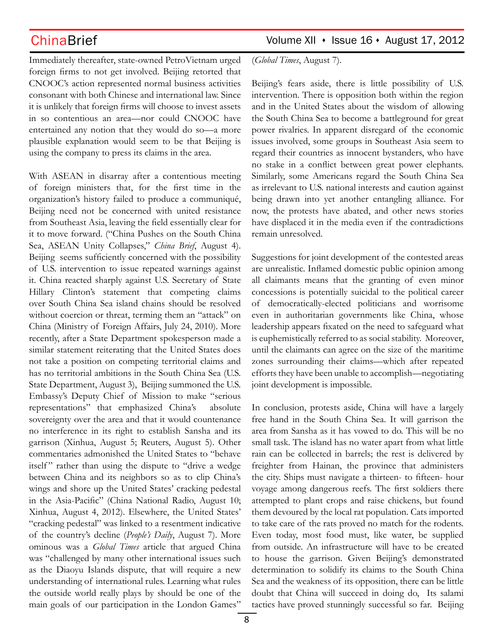Immediately thereafter, state-owned PetroVietnam urged foreign firms to not get involved. Beijing retorted that CNOOC's action represented normal business activities consonant with both Chinese and international law. Since it is unlikely that foreign firms will choose to invest assets in so contentious an area—nor could CNOOC have entertained any notion that they would do so—a more plausible explanation would seem to be that Beijing is using the company to press its claims in the area.

With ASEAN in disarray after a contentious meeting of foreign ministers that, for the first time in the organization's history failed to produce a communiqué, Beijing need not be concerned with united resistance from Southeast Asia, leaving the field essentially clear for it to move forward. ("China Pushes on the South China Sea, ASEAN Unity Collapses," *China Brief*, August 4). Beijing seems sufficiently concerned with the possibility of U.S. intervention to issue repeated warnings against it. China reacted sharply against U.S. Secretary of State Hillary Clinton's statement that competing claims over South China Sea island chains should be resolved without coercion or threat, terming them an "attack" on China (Ministry of Foreign Affairs, July 24, 2010). More recently, after a State Department spokesperson made a similar statement reiterating that the United States does not take a position on competing territorial claims and has no territorial ambitions in the South China Sea (U.S. State Department, August 3), Beijing summoned the U.S. Embassy's Deputy Chief of Mission to make "serious representations" that emphasized China's absolute sovereignty over the area and that it would countenance no interference in its right to establish Sansha and its garrison (Xinhua, August 5; Reuters, August 5). Other commentaries admonished the United States to "behave itself" rather than using the dispute to "drive a wedge between China and its neighbors so as to clip China's wings and shore up the United States' cracking pedestal in the Asia-Pacific" (China National Radio, August 10; Xinhua, August 4, 2012). Elsewhere, the United States' "cracking pedestal" was linked to a resentment indicative of the country's decline (*People's Daily*, August 7). More ominous was a *Global Times* article that argued China was "challenged by many other international issues such as the Diaoyu Islands dispute, that will require a new understanding of international rules. Learning what rules the outside world really plays by should be one of the main goals of our participation in the London Games"

(*Global Times*, August 7).

Beijing's fears aside, there is little possibility of U.S. intervention. There is opposition both within the region and in the United States about the wisdom of allowing the South China Sea to become a battleground for great power rivalries. In apparent disregard of the economic issues involved, some groups in Southeast Asia seem to regard their countries as innocent bystanders, who have no stake in a conflict between great power elephants. Similarly, some Americans regard the South China Sea as irrelevant to U.S. national interests and caution against being drawn into yet another entangling alliance. For now, the protests have abated, and other news stories have displaced it in the media even if the contradictions remain unresolved.

Suggestions for joint development of the contested areas are unrealistic. Inflamed domestic public opinion among all claimants means that the granting of even minor concessions is potentially suicidal to the political career of democratically-elected politicians and worrisome even in authoritarian governments like China, whose leadership appears fixated on the need to safeguard what is euphemistically referred to as social stability. Moreover, until the claimants can agree on the size of the maritime zones surrounding their claims—which after repeated efforts they have been unable to accomplish—negotiating joint development is impossible.

In conclusion, protests aside, China will have a largely free hand in the South China Sea. It will garrison the area from Sansha as it has vowed to do. This will be no small task. The island has no water apart from what little rain can be collected in barrels; the rest is delivered by freighter from Hainan, the province that administers the city. Ships must navigate a thirteen- to fifteen- hour voyage among dangerous reefs. The first soldiers there attempted to plant crops and raise chickens, but found them devoured by the local rat population. Cats imported to take care of the rats proved no match for the rodents. Even today, most food must, like water, be supplied from outside. An infrastructure will have to be created to house the garrison. Given Beijing's demonstrated determination to solidify its claims to the South China Sea and the weakness of its opposition, there can be little doubt that China will succeed in doing do, Its salami tactics have proved stunningly successful so far. Beijing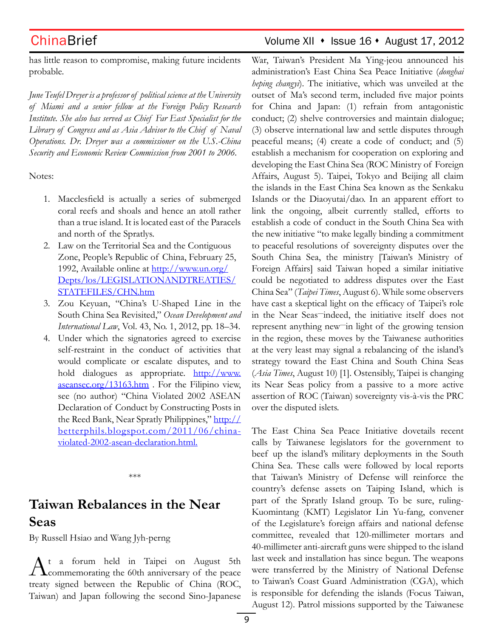## ChinaBrief ChinaBrief Volume XII • Issue 16 • August 17, 2012

has little reason to compromise, making future incidents probable.

*June Teufel Dreyer is a professor of political science at the University of Miami and a senior fellow at the Foreign Policy Research Institute. She also has served as Chief Far East Specialist for the Library of Congress and as Asia Advisor to the Chief of Naval Operations. Dr. Dreyer was a commissioner on the U.S.-China Security and Economic Review Commission from 2001 to 2006.*

Notes:

- 1. Macclesfield is actually a series of submerged coral reefs and shoals and hence an atoll rather than a true island. It is located east of the Paracels and north of the Spratlys.
- 2. Law on the Territorial Sea and the Contiguous Zone, People's Republic of China, February 25, 1992, Available online at http://www.un.org/ Depts/los/LEGISLATIONANDTREATIES/ STATEFILES/CHN.htm
- 3. Zou Keyuan, "China's U-Shaped Line in the South China Sea Revisited," *Ocean Development and International Law*, Vol. 43, No. 1, 2012, pp. 18–34.
- 4. Under which the signatories agreed to exercise self-restraint in the conduct of activities that would complicate or escalate disputes, and to hold dialogues as appropriate. http://www. aseansec.org/13163.htm . For the Filipino view, see (no author) "China Violated 2002 ASEAN Declaration of Conduct by Constructing Posts in the Reed Bank, Near Spratly Philippines," http:// betterphils.blogspot.com/2011/06/chinaviolated-2002-asean-declaration.html.

\*\*\*

# **Taiwan Rebalances in the Near Seas**

By Russell Hsiao and Wang Jyh-perng

 $A^{\text{t}}$  a forum held in Taipei on August 5th<br>
commemorating the 60th anniversary of the peace treaty signed between the Republic of China (ROC, Taiwan) and Japan following the second Sino-Japanese

War, Taiwan's President Ma Ying-jeou announced his administration's East China Sea Peace Initiative (*donghai heping changyi*). The initiative, which was unveiled at the outset of Ma's second term, included five major points for China and Japan: (1) refrain from antagonistic conduct; (2) shelve controversies and maintain dialogue; (3) observe international law and settle disputes through peaceful means; (4) create a code of conduct; and (5) establish a mechanism for cooperation on exploring and developing the East China Sea (ROC Ministry of Foreign Affairs, August 5). Taipei, Tokyo and Beijing all claim the islands in the East China Sea known as the Senkaku Islands or the Diaoyutai/dao. In an apparent effort to link the ongoing, albeit currently stalled, efforts to establish a code of conduct in the South China Sea with the new initiative "to make legally binding a commitment to peaceful resolutions of sovereignty disputes over the South China Sea, the ministry [Taiwan's Ministry of Foreign Affairs] said Taiwan hoped a similar initiative could be negotiated to address disputes over the East China Sea" (*Taipei Times*, August 6). While some observers have cast a skeptical light on the efficacy of Taipei's role in the Near Seas—indeed, the initiative itself does not represent anything new—in light of the growing tension in the region, these moves by the Taiwanese authorities at the very least may signal a rebalancing of the island's strategy toward the East China and South China Seas (*Asia Times*, August 10) [1]. Ostensibly, Taipei is changing its Near Seas policy from a passive to a more active assertion of ROC (Taiwan) sovereignty vis-à-vis the PRC over the disputed islets.

The East China Sea Peace Initiative dovetails recent calls by Taiwanese legislators for the government to beef up the island's military deployments in the South China Sea. These calls were followed by local reports that Taiwan's Ministry of Defense will reinforce the country's defense assets on Taiping Island, which is part of the Spratly Island group. To be sure, ruling-Kuomintang (KMT) Legislator Lin Yu-fang, convener of the Legislature's foreign affairs and national defense committee, revealed that 120-millimeter mortars and 40-millimeter anti-aircraft guns were shipped to the island last week and installation has since begun. The weapons were transferred by the Ministry of National Defense to Taiwan's Coast Guard Administration (CGA), which is responsible for defending the islands (Focus Taiwan, August 12). Patrol missions supported by the Taiwanese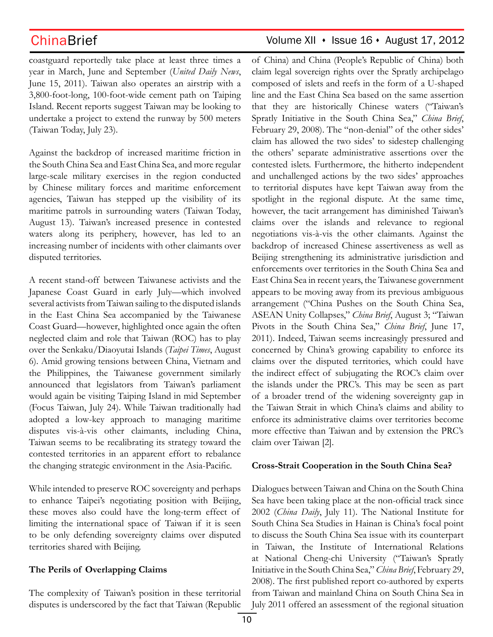coastguard reportedly take place at least three times a year in March, June and September (*United Daily News*, June 15, 2011). Taiwan also operates an airstrip with a 3,800-foot-long, 100-foot-wide cement path on Taiping Island. Recent reports suggest Taiwan may be looking to undertake a project to extend the runway by 500 meters (Taiwan Today, July 23).

Against the backdrop of increased maritime friction in the South China Sea and East China Sea, and more regular large-scale military exercises in the region conducted by Chinese military forces and maritime enforcement agencies, Taiwan has stepped up the visibility of its maritime patrols in surrounding waters (Taiwan Today, August 13). Taiwan's increased presence in contested waters along its periphery, however, has led to an increasing number of incidents with other claimants over disputed territories.

A recent stand-off between Taiwanese activists and the Japanese Coast Guard in early July—which involved several activists from Taiwan sailing to the disputed islands in the East China Sea accompanied by the Taiwanese Coast Guard—however, highlighted once again the often neglected claim and role that Taiwan (ROC) has to play over the Senkaku/Diaoyutai Islands (*Taipei Times*, August 6). Amid growing tensions between China, Vietnam and the Philippines, the Taiwanese government similarly announced that legislators from Taiwan's parliament would again be visiting Taiping Island in mid September (Focus Taiwan, July 24). While Taiwan traditionally had adopted a low-key approach to managing maritime disputes vis-à-vis other claimants, including China, Taiwan seems to be recalibrating its strategy toward the contested territories in an apparent effort to rebalance the changing strategic environment in the Asia-Pacific.

While intended to preserve ROC sovereignty and perhaps to enhance Taipei's negotiating position with Beijing, these moves also could have the long-term effect of limiting the international space of Taiwan if it is seen to be only defending sovereignty claims over disputed territories shared with Beijing.

### **The Perils of Overlapping Claims**

The complexity of Taiwan's position in these territorial disputes is underscored by the fact that Taiwan (Republic

## $China Brief$  Volume XII  $\cdot$  Issue 16  $\cdot$  August 17, 2012

of China) and China (People's Republic of China) both claim legal sovereign rights over the Spratly archipelago composed of islets and reefs in the form of a U-shaped line and the East China Sea based on the same assertion that they are historically Chinese waters ("Taiwan's Spratly Initiative in the South China Sea," *China Brief*, February 29, 2008). The "non-denial" of the other sides' claim has allowed the two sides' to sidestep challenging the others' separate administrative assertions over the contested islets. Furthermore, the hitherto independent and unchallenged actions by the two sides' approaches to territorial disputes have kept Taiwan away from the spotlight in the regional dispute. At the same time, however, the tacit arrangement has diminished Taiwan's claims over the islands and relevance to regional negotiations vis-à-vis the other claimants. Against the backdrop of increased Chinese assertiveness as well as Beijing strengthening its administrative jurisdiction and enforcements over territories in the South China Sea and East China Sea in recent years, the Taiwanese government appears to be moving away from its previous ambiguous arrangement ("China Pushes on the South China Sea, ASEAN Unity Collapses," *China Brief*, August 3; "Taiwan Pivots in the South China Sea," *China Brief*, June 17, 2011). Indeed, Taiwan seems increasingly pressured and concerned by China's growing capability to enforce its claims over the disputed territories, which could have the indirect effect of subjugating the ROC's claim over the islands under the PRC's. This may be seen as part of a broader trend of the widening sovereignty gap in the Taiwan Strait in which China's claims and ability to enforce its administrative claims over territories become more effective than Taiwan and by extension the PRC's claim over Taiwan [2].

### **Cross-Strait Cooperation in the South China Sea?**

Dialogues between Taiwan and China on the South China Sea have been taking place at the non-official track since 2002 (*China Daily*, July 11). The National Institute for South China Sea Studies in Hainan is China's focal point to discuss the South China Sea issue with its counterpart in Taiwan, the Institute of International Relations at National Cheng-chi University ("Taiwan's Spratly Initiative in the South China Sea," *China Brief*, February 29, 2008). The first published report co-authored by experts from Taiwan and mainland China on South China Sea in July 2011 offered an assessment of the regional situation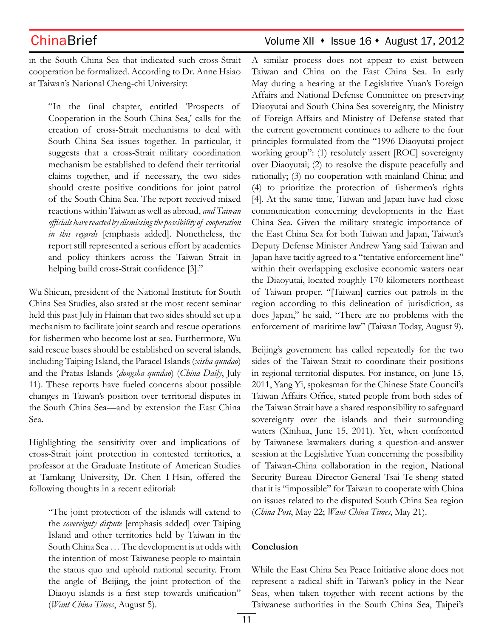in the South China Sea that indicated such cross-Strait cooperation be formalized. According to Dr. Anne Hsiao at Taiwan's National Cheng-chi University:

"In the final chapter, entitled 'Prospects of Cooperation in the South China Sea,' calls for the creation of cross-Strait mechanisms to deal with South China Sea issues together. In particular, it suggests that a cross-Strait military coordination mechanism be established to defend their territorial claims together, and if necessary, the two sides should create positive conditions for joint patrol of the South China Sea. The report received mixed reactions within Taiwan as well as abroad, *and Taiwan officials have reacted by dismissing the possibility of cooperation in this regards* [emphasis added]. Nonetheless, the report still represented a serious effort by academics and policy thinkers across the Taiwan Strait in helping build cross-Strait confidence [3]."

Wu Shicun, president of the National Institute for South China Sea Studies, also stated at the most recent seminar held this past July in Hainan that two sides should set up a mechanism to facilitate joint search and rescue operations for fishermen who become lost at sea. Furthermore, Wu said rescue bases should be established on several islands, including Taiping Island, the Paracel Islands (*xisha qundao*) and the Pratas Islands (*dongsha qundao*) (*China Daily*, July 11). These reports have fueled concerns about possible changes in Taiwan's position over territorial disputes in the South China Sea—and by extension the East China Sea.

Highlighting the sensitivity over and implications of cross-Strait joint protection in contested territories, a professor at the Graduate Institute of American Studies at Tamkang University, Dr. Chen I-Hsin, offered the following thoughts in a recent editorial:

"The joint protection of the islands will extend to the *sovereignty dispute* [emphasis added] over Taiping Island and other territories held by Taiwan in the South China Sea … The development is at odds with the intention of most Taiwanese people to maintain the status quo and uphold national security. From the angle of Beijing, the joint protection of the Diaoyu islands is a first step towards unification" (*Want China Times*, August 5).

## ChinaBrief ChinaBrief Volume XII • Issue 16 • August 17, 2012

A similar process does not appear to exist between Taiwan and China on the East China Sea. In early May during a hearing at the Legislative Yuan's Foreign Affairs and National Defense Committee on preserving Diaoyutai and South China Sea sovereignty, the Ministry of Foreign Affairs and Ministry of Defense stated that the current government continues to adhere to the four principles formulated from the "1996 Diaoyutai project working group": (1) resolutely assert [ROC] sovereignty over Diaoyutai; (2) to resolve the dispute peacefully and rationally; (3) no cooperation with mainland China; and (4) to prioritize the protection of fishermen's rights [4]. At the same time, Taiwan and Japan have had close communication concerning developments in the East China Sea. Given the military strategic importance of the East China Sea for both Taiwan and Japan, Taiwan's Deputy Defense Minister Andrew Yang said Taiwan and Japan have tacitly agreed to a "tentative enforcement line" within their overlapping exclusive economic waters near the Diaoyutai, located roughly 170 kilometers northeast of Taiwan proper. "[Taiwan] carries out patrols in the region according to this delineation of jurisdiction, as does Japan," he said, "There are no problems with the enforcement of maritime law" (Taiwan Today, August 9).

Beijing's government has called repeatedly for the two sides of the Taiwan Strait to coordinate their positions in regional territorial disputes. For instance, on June 15, 2011, Yang Yi, spokesman for the Chinese State Council's Taiwan Affairs Office, stated people from both sides of the Taiwan Strait have a shared responsibility to safeguard sovereignty over the islands and their surrounding waters (Xinhua, June 15, 2011). Yet, when confronted by Taiwanese lawmakers during a question-and-answer session at the Legislative Yuan concerning the possibility of Taiwan-China collaboration in the region, National Security Bureau Director-General Tsai Te-sheng stated that it is "impossible" for Taiwan to cooperate with China on issues related to the disputed South China Sea region (*China Post*, May 22; *Want China Times*, May 21).

### **Conclusion**

While the East China Sea Peace Initiative alone does not represent a radical shift in Taiwan's policy in the Near Seas, when taken together with recent actions by the Taiwanese authorities in the South China Sea, Taipei's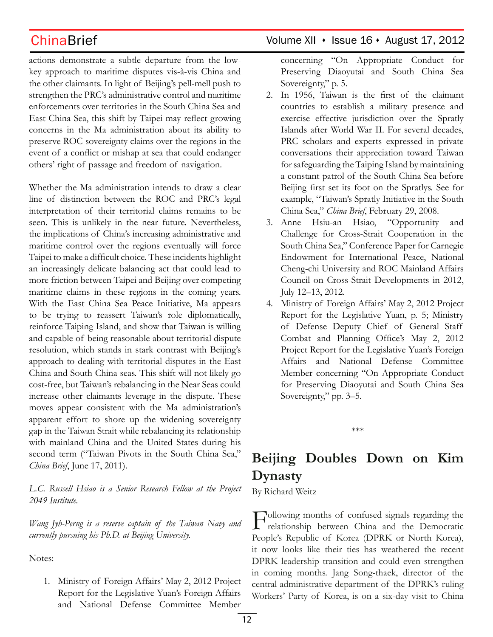actions demonstrate a subtle departure from the lowkey approach to maritime disputes vis-à-vis China and the other claimants. In light of Beijing's pell-mell push to strengthen the PRC's administrative control and maritime enforcements over territories in the South China Sea and East China Sea, this shift by Taipei may reflect growing concerns in the Ma administration about its ability to preserve ROC sovereignty claims over the regions in the event of a conflict or mishap at sea that could endanger others' right of passage and freedom of navigation.

Whether the Ma administration intends to draw a clear line of distinction between the ROC and PRC's legal interpretation of their territorial claims remains to be seen. This is unlikely in the near future. Nevertheless, the implications of China's increasing administrative and maritime control over the regions eventually will force Taipei to make a difficult choice. These incidents highlight an increasingly delicate balancing act that could lead to more friction between Taipei and Beijing over competing maritime claims in these regions in the coming years. With the East China Sea Peace Initiative, Ma appears to be trying to reassert Taiwan's role diplomatically, reinforce Taiping Island, and show that Taiwan is willing and capable of being reasonable about territorial dispute resolution, which stands in stark contrast with Beijing's approach to dealing with territorial disputes in the East China and South China seas. This shift will not likely go cost-free, but Taiwan's rebalancing in the Near Seas could increase other claimants leverage in the dispute. These moves appear consistent with the Ma administration's apparent effort to shore up the widening sovereignty gap in the Taiwan Strait while rebalancing its relationship with mainland China and the United States during his second term ("Taiwan Pivots in the South China Sea," *China Brief*, June 17, 2011).

*L.C. Russell Hsiao is a Senior Research Fellow at the Project 2049 Institute.* 

*Wang Jyh-Perng is a reserve captain of the Taiwan Navy and currently pursuing his Ph.D. at Beijing University.*

Notes:

1. Ministry of Foreign Affairs' May 2, 2012 Project Report for the Legislative Yuan's Foreign Affairs and National Defense Committee Member

## $China Brief$  Volume XII  $\cdot$  Issue 16  $\cdot$  August 17, 2012

concerning "On Appropriate Conduct for Preserving Diaoyutai and South China Sea Sovereignty," p. 5.

- 2. In 1956, Taiwan is the first of the claimant countries to establish a military presence and exercise effective jurisdiction over the Spratly Islands after World War II. For several decades, PRC scholars and experts expressed in private conversations their appreciation toward Taiwan for safeguarding the Taiping Island by maintaining a constant patrol of the South China Sea before Beijing first set its foot on the Spratlys. See for example, "Taiwan's Spratly Initiative in the South China Sea," *China Brief*, February 29, 2008.
- 3. Anne Hsiu-an Hsiao, "Opportunity and Challenge for Cross-Strait Cooperation in the South China Sea," Conference Paper for Carnegie Endowment for International Peace, National Cheng-chi University and ROC Mainland Affairs Council on Cross-Strait Developments in 2012, July 12–13, 2012.
- 4. Ministry of Foreign Affairs' May 2, 2012 Project Report for the Legislative Yuan, p. 5; Ministry of Defense Deputy Chief of General Staff Combat and Planning Office's May 2, 2012 Project Report for the Legislative Yuan's Foreign Affairs and National Defense Committee Member concerning "On Appropriate Conduct for Preserving Diaoyutai and South China Sea Sovereignty," pp. 3–5.

\*\*\*

# **Beijing Doubles Down on Kim Dynasty**

By Richard Weitz

Following months of confused signals regarding the relationship between China and the Democratic People's Republic of Korea (DPRK or North Korea), it now looks like their ties has weathered the recent DPRK leadership transition and could even strengthen in coming months. Jang Song-thaek, director of the central administrative department of the DPRK's ruling Workers' Party of Korea, is on a six-day visit to China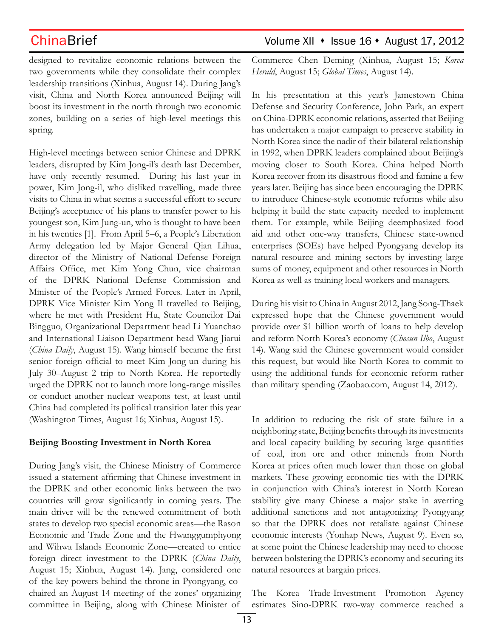ChinaBrief ChinaBrief Volume XII • Issue 16 • August 17, 2012

designed to revitalize economic relations between the two governments while they consolidate their complex leadership transitions (Xinhua, August 14). During Jang's visit, China and North Korea announced Beijing will boost its investment in the north through two economic zones, building on a series of high-level meetings this spring.

High-level meetings between senior Chinese and DPRK leaders, disrupted by Kim Jong-il's death last December, have only recently resumed. During his last year in power, Kim Jong-il, who disliked travelling, made three visits to China in what seems a successful effort to secure Beijing's acceptance of his plans to transfer power to his youngest son, Kim Jung-un, who is thought to have been in his twenties [1]. From April 5–6, a People's Liberation Army delegation led by Major General Qian Lihua, director of the Ministry of National Defense Foreign Affairs Office, met Kim Yong Chun, vice chairman of the DPRK National Defense Commission and Minister of the People's Armed Forces. Later in April, DPRK Vice Minister Kim Yong Il travelled to Beijing, where he met with President Hu, State Councilor Dai Bingguo, Organizational Department head Li Yuanchao and International Liaison Department head Wang Jiarui (*China Daily*, August 15). Wang himself became the first senior foreign official to meet Kim Jong-un during his July 30–August 2 trip to North Korea. He reportedly urged the DPRK not to launch more long-range missiles or conduct another nuclear weapons test, at least until China had completed its political transition later this year (Washington Times, August 16; Xinhua, August 15).

### **Beijing Boosting Investment in North Korea**

During Jang's visit, the Chinese Ministry of Commerce issued a statement affirming that Chinese investment in the DPRK and other economic links between the two countries will grow significantly in coming years. The main driver will be the renewed commitment of both states to develop two special economic areas—the Rason Economic and Trade Zone and the Hwanggumphyong and Wihwa Islands Economic Zone—created to entice foreign direct investment to the DPRK (*China Daily*, August 15; Xinhua, August 14). Jang, considered one of the key powers behind the throne in Pyongyang, cochaired an August 14 meeting of the zones' organizing committee in Beijing, along with Chinese Minister of

Commerce Chen Deming (Xinhua, August 15; *Korea Herald*, August 15; *Global Times*, August 14).

In his presentation at this year's Jamestown China Defense and Security Conference, John Park, an expert on China-DPRK economic relations, asserted that Beijing has undertaken a major campaign to preserve stability in North Korea since the nadir of their bilateral relationship in 1992, when DPRK leaders complained about Beijing's moving closer to South Korea. China helped North Korea recover from its disastrous flood and famine a few years later. Beijing has since been encouraging the DPRK to introduce Chinese-style economic reforms while also helping it build the state capacity needed to implement them. For example, while Beijing deemphasized food aid and other one-way transfers, Chinese state-owned enterprises (SOEs) have helped Pyongyang develop its natural resource and mining sectors by investing large sums of money, equipment and other resources in North Korea as well as training local workers and managers.

During his visit to China in August 2012, Jang Song-Thaek expressed hope that the Chinese government would provide over \$1 billion worth of loans to help develop and reform North Korea's economy (*Chosun Ilbo*, August 14). Wang said the Chinese government would consider this request, but would like North Korea to commit to using the additional funds for economic reform rather than military spending (Zaobao.com, August 14, 2012).

In addition to reducing the risk of state failure in a neighboring state, Beijing benefits through its investments and local capacity building by securing large quantities of coal, iron ore and other minerals from North Korea at prices often much lower than those on global markets. These growing economic ties with the DPRK in conjunction with China's interest in North Korean stability give many Chinese a major stake in averting additional sanctions and not antagonizing Pyongyang so that the DPRK does not retaliate against Chinese economic interests (Yonhap News, August 9). Even so, at some point the Chinese leadership may need to choose between bolstering the DPRK's economy and securing its natural resources at bargain prices.

The Korea Trade-Investment Promotion Agency estimates Sino-DPRK two-way commerce reached a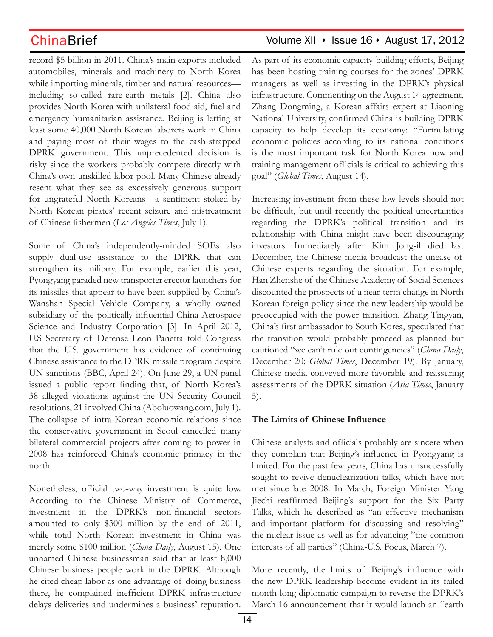record \$5 billion in 2011. China's main exports included automobiles, minerals and machinery to North Korea while importing minerals, timber and natural resources including so-called rare-earth metals [2]. China also provides North Korea with unilateral food aid, fuel and emergency humanitarian assistance. Beijing is letting at least some 40,000 North Korean laborers work in China and paying most of their wages to the cash-strapped DPRK government. This unprecedented decision is risky since the workers probably compete directly with China's own unskilled labor pool. Many Chinese already resent what they see as excessively generous support for ungrateful North Koreans—a sentiment stoked by North Korean pirates' recent seizure and mistreatment of Chinese fishermen (*Los Angeles Times*, July 1).

Some of China's independently-minded SOEs also supply dual-use assistance to the DPRK that can strengthen its military. For example, earlier this year, Pyongyang paraded new transporter erector launchers for its missiles that appear to have been supplied by China's Wanshan Special Vehicle Company, a wholly owned subsidiary of the politically influential China Aerospace Science and Industry Corporation [3]. In April 2012, U.S Secretary of Defense Leon Panetta told Congress that the U.S. government has evidence of continuing Chinese assistance to the DPRK missile program despite UN sanctions (BBC, April 24). On June 29, a UN panel issued a public report finding that, of North Korea's 38 alleged violations against the UN Security Council resolutions, 21 involved China (Aboluowang.com, July 1). The collapse of intra-Korean economic relations since the conservative government in Seoul cancelled many bilateral commercial projects after coming to power in 2008 has reinforced China's economic primacy in the north.

Nonetheless, official two-way investment is quite low. According to the Chinese Ministry of Commerce, investment in the DPRK's non-financial sectors amounted to only \$300 million by the end of 2011, while total North Korean investment in China was merely some \$100 million (*China Daily*, August 15). One unnamed Chinese businessman said that at least 8,000 Chinese business people work in the DPRK. Although he cited cheap labor as one advantage of doing business there, he complained inefficient DPRK infrastructure delays deliveries and undermines a business' reputation.

## $China Brief$  Volume XII  $\cdot$  Issue 16  $\cdot$  August 17, 2012

As part of its economic capacity-building efforts, Beijing has been hosting training courses for the zones' DPRK managers as well as investing in the DPRK's physical infrastructure. Commenting on the August 14 agreement, Zhang Dongming, a Korean affairs expert at Liaoning National University, confirmed China is building DPRK capacity to help develop its economy: "Formulating economic policies according to its national conditions is the most important task for North Korea now and training management officials is critical to achieving this goal" (*Global Times*, August 14).

Increasing investment from these low levels should not be difficult, but until recently the political uncertainties regarding the DPRK's political transition and its relationship with China might have been discouraging investors. Immediately after Kim Jong-il died last December, the Chinese media broadcast the unease of Chinese experts regarding the situation. For example, Han Zhenshe of the Chinese Academy of Social Sciences discounted the prospects of a near-term change in North Korean foreign policy since the new leadership would be preoccupied with the power transition. Zhang Tingyan, China's first ambassador to South Korea, speculated that the transition would probably proceed as planned but cautioned "we can't rule out contingencies" (*China Daily*, December 20; *Global Times*, December 19). By January, Chinese media conveyed more favorable and reassuring assessments of the DPRK situation (*Asia Times*, January 5).

### **The Limits of Chinese Influence**

Chinese analysts and officials probably are sincere when they complain that Beijing's influence in Pyongyang is limited. For the past few years, China has unsuccessfully sought to revive denuclearization talks, which have not met since late 2008. In March, Foreign Minister Yang Jiechi reaffirmed Beijing's support for the Six Party Talks, which he described as "an effective mechanism and important platform for discussing and resolving" the nuclear issue as well as for advancing "the common interests of all parties" (China-U.S. Focus, March 7).

More recently, the limits of Beijing's influence with the new DPRK leadership become evident in its failed month-long diplomatic campaign to reverse the DPRK's March 16 announcement that it would launch an "earth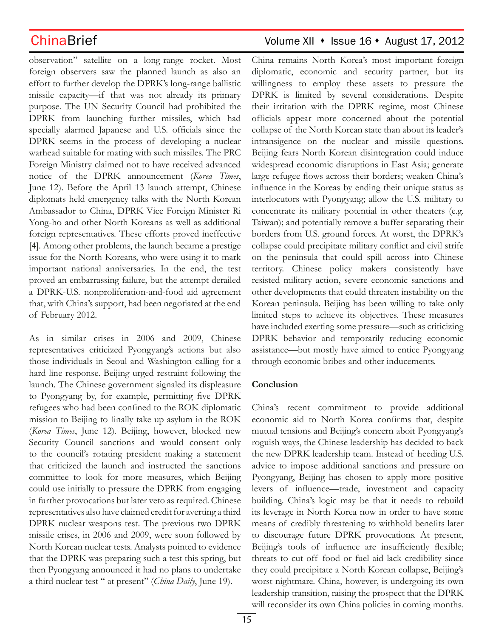observation" satellite on a long-range rocket. Most foreign observers saw the planned launch as also an effort to further develop the DPRK's long-range ballistic missile capacity—if that was not already its primary purpose. The UN Security Council had prohibited the DPRK from launching further missiles, which had specially alarmed Japanese and U.S. officials since the DPRK seems in the process of developing a nuclear warhead suitable for mating with such missiles. The PRC Foreign Ministry claimed not to have received advanced notice of the DPRK announcement (*Korea Times*, June 12). Before the April 13 launch attempt, Chinese diplomats held emergency talks with the North Korean Ambassador to China, DPRK Vice Foreign Minister Ri Yong-ho and other North Koreans as well as additional foreign representatives. These efforts proved ineffective [4]. Among other problems, the launch became a prestige issue for the North Koreans, who were using it to mark important national anniversaries. In the end, the test proved an embarrassing failure, but the attempt derailed a DPRK-U.S. nonproliferation-and-food aid agreement that, with China's support, had been negotiated at the end of February 2012.

As in similar crises in 2006 and 2009, Chinese representatives criticized Pyongyang's actions but also those individuals in Seoul and Washington calling for a hard-line response. Beijing urged restraint following the launch. The Chinese government signaled its displeasure to Pyongyang by, for example, permitting five DPRK refugees who had been confined to the ROK diplomatic mission to Beijing to finally take up asylum in the ROK (*Korea Times*, June 12). Beijing, however, blocked new Security Council sanctions and would consent only to the council's rotating president making a statement that criticized the launch and instructed the sanctions committee to look for more measures, which Beijing could use initially to pressure the DPRK from engaging in further provocations but later veto as required. Chinese representatives also have claimed credit for averting a third DPRK nuclear weapons test. The previous two DPRK missile crises, in 2006 and 2009, were soon followed by North Korean nuclear tests. Analysts pointed to evidence that the DPRK was preparing such a test this spring, but then Pyongyang announced it had no plans to undertake a third nuclear test " at present" (*China Daily*, June 19).

## ChinaBrief ChinaBrief Volume XII • Issue 16 • August 17, 2012

China remains North Korea's most important foreign diplomatic, economic and security partner, but its willingness to employ these assets to pressure the DPRK is limited by several considerations. Despite their irritation with the DPRK regime, most Chinese officials appear more concerned about the potential collapse of the North Korean state than about its leader's intransigence on the nuclear and missile questions. Beijing fears North Korean disintegration could induce widespread economic disruptions in East Asia; generate large refugee flows across their borders; weaken China's influence in the Koreas by ending their unique status as interlocutors with Pyongyang; allow the U.S. military to concentrate its military potential in other theaters (e.g. Taiwan); and potentially remove a buffer separating their borders from U.S. ground forces. At worst, the DPRK's collapse could precipitate military conflict and civil strife on the peninsula that could spill across into Chinese territory. Chinese policy makers consistently have resisted military action, severe economic sanctions and other developments that could threaten instability on the Korean peninsula. Beijing has been willing to take only limited steps to achieve its objectives. These measures have included exerting some pressure—such as criticizing DPRK behavior and temporarily reducing economic assistance—but mostly have aimed to entice Pyongyang through economic bribes and other inducements.

### **Conclusion**

China's recent commitment to provide additional economic aid to North Korea confirms that, despite mutual tensions and Beijing's concern aboit Pyongyang's roguish ways, the Chinese leadership has decided to back the new DPRK leadership team. Instead of heeding U.S. advice to impose additional sanctions and pressure on Pyongyang, Beijing has chosen to apply more positive levers of influence—trade, investment and capacity building. China's logic may be that it needs to rebuild its leverage in North Korea now in order to have some means of credibly threatening to withhold benefits later to discourage future DPRK provocations. At present, Beijing's tools of influence are insufficiently flexible; threats to cut off food or fuel aid lack credibility since they could precipitate a North Korean collapse, Beijing's worst nightmare. China, however, is undergoing its own leadership transition, raising the prospect that the DPRK will reconsider its own China policies in coming months.